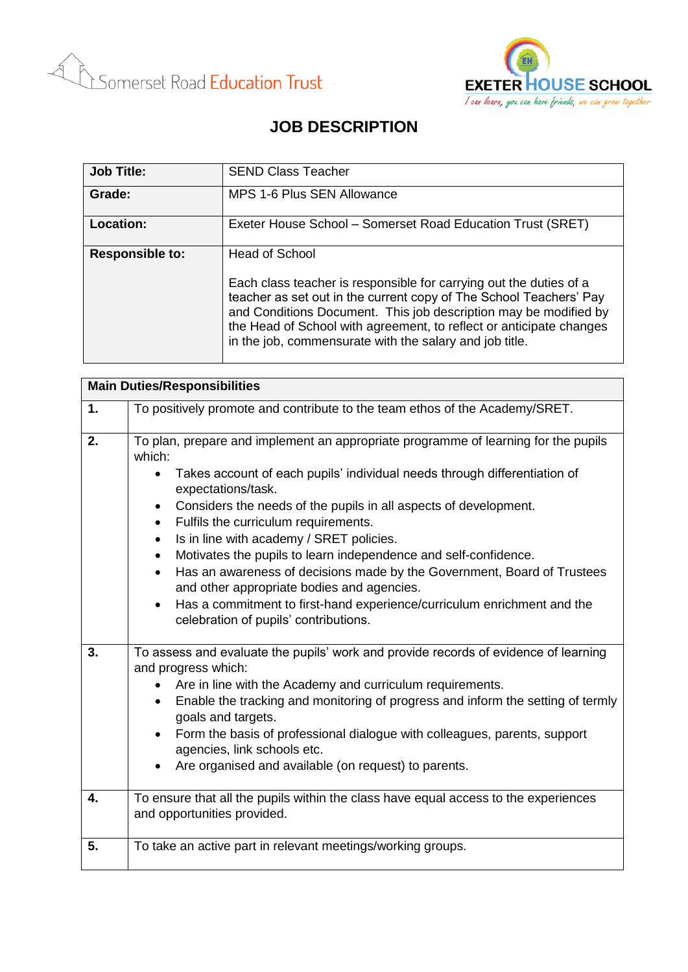



## **JOB DESCRIPTION**

| <b>Job Title:</b>      | <b>SEND Class Teacher</b>                                                                                                                                                                                                                                                                                                                                               |
|------------------------|-------------------------------------------------------------------------------------------------------------------------------------------------------------------------------------------------------------------------------------------------------------------------------------------------------------------------------------------------------------------------|
| Grade:                 | MPS 1-6 Plus SEN Allowance                                                                                                                                                                                                                                                                                                                                              |
| Location:              | Exeter House School – Somerset Road Education Trust (SRET)                                                                                                                                                                                                                                                                                                              |
| <b>Responsible to:</b> | <b>Head of School</b><br>Each class teacher is responsible for carrying out the duties of a<br>teacher as set out in the current copy of The School Teachers' Pay<br>and Conditions Document. This job description may be modified by<br>the Head of School with agreement, to reflect or anticipate changes<br>in the job, commensurate with the salary and job title. |

| <b>Main Duties/Responsibilities</b> |                                                                                                                                                                                                                                                                                                                                                                                                                                                                                                                                                                                                                                                                                                                                          |  |
|-------------------------------------|------------------------------------------------------------------------------------------------------------------------------------------------------------------------------------------------------------------------------------------------------------------------------------------------------------------------------------------------------------------------------------------------------------------------------------------------------------------------------------------------------------------------------------------------------------------------------------------------------------------------------------------------------------------------------------------------------------------------------------------|--|
| 1.                                  | To positively promote and contribute to the team ethos of the Academy/SRET.                                                                                                                                                                                                                                                                                                                                                                                                                                                                                                                                                                                                                                                              |  |
| 2.                                  | To plan, prepare and implement an appropriate programme of learning for the pupils<br>which:<br>Takes account of each pupils' individual needs through differentiation of<br>$\bullet$<br>expectations/task.<br>Considers the needs of the pupils in all aspects of development.<br>$\bullet$<br>Fulfils the curriculum requirements.<br>$\bullet$<br>Is in line with academy / SRET policies.<br>Motivates the pupils to learn independence and self-confidence.<br>Has an awareness of decisions made by the Government, Board of Trustees<br>$\bullet$<br>and other appropriate bodies and agencies.<br>Has a commitment to first-hand experience/curriculum enrichment and the<br>$\bullet$<br>celebration of pupils' contributions. |  |
| 3.                                  | To assess and evaluate the pupils' work and provide records of evidence of learning<br>and progress which:<br>Are in line with the Academy and curriculum requirements.<br>$\bullet$<br>Enable the tracking and monitoring of progress and inform the setting of termly<br>goals and targets.<br>Form the basis of professional dialogue with colleagues, parents, support<br>agencies, link schools etc.<br>Are organised and available (on request) to parents.                                                                                                                                                                                                                                                                        |  |
| 4.                                  | To ensure that all the pupils within the class have equal access to the experiences<br>and opportunities provided.                                                                                                                                                                                                                                                                                                                                                                                                                                                                                                                                                                                                                       |  |
| 5.                                  | To take an active part in relevant meetings/working groups.                                                                                                                                                                                                                                                                                                                                                                                                                                                                                                                                                                                                                                                                              |  |